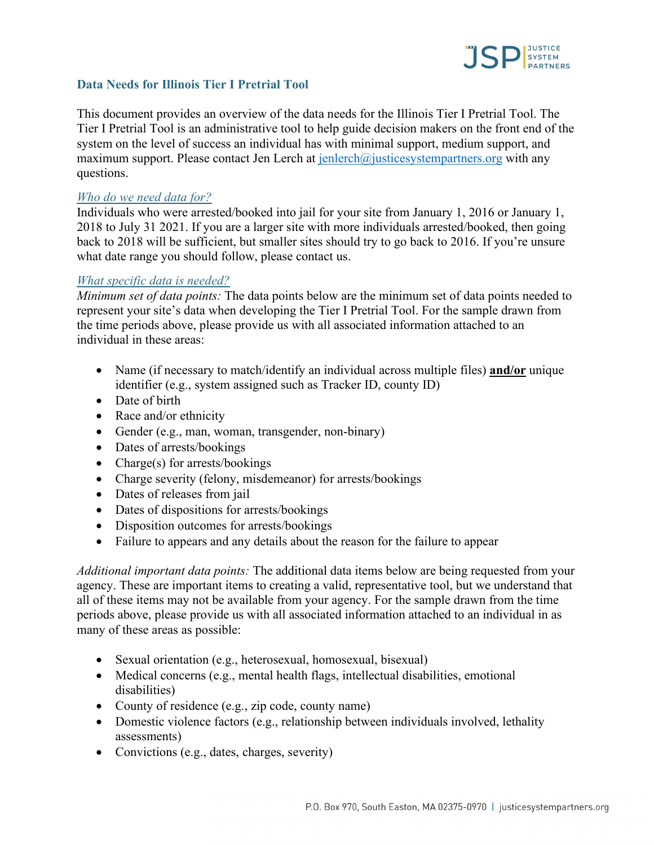

### **Data Needs for Illinois Tier I Pretrial Tool**

This document provides an overview of the data needs for the Illinois Tier I Pretrial Tool. The Tier I Pretrial Tool is an administrative tool to help guide decision makers on the front end of the system on the level of success an individual has with minimal support, medium support, and maximum support. Please contact Jen Lerch at  $\frac{\text{jenlerch}}{\text{Q}\text{justices}}$ ystempartners.org with any questions.

#### *Who do we need data for?*

Individuals who were arrested/booked into jail for your site from January 1, 2016 or January 1, 2018 to July 31 2021. If you are a larger site with more individuals arrested/booked, then going back to 2018 will be sufficient, but smaller sites should try to go back to 2016. If you're unsure what date range you should follow, please contact us.

#### *What specific data is needed?*

*Minimum set of data points:* The data points below are the minimum set of data points needed to represent your site's data when developing the Tier I Pretrial Tool. For the sample drawn from the time periods above, please provide us with all associated information attached to an individual in these areas:

- Name (if necessary to match/identify an individual across multiple files) **and/or** unique identifier (e.g., system assigned such as Tracker ID, county ID)
- Date of birth
- Race and/or ethnicity
- Gender (e.g., man, woman, transgender, non-binary)
- Dates of arrests/bookings
- Charge(s) for arrests/bookings
- Charge severity (felony, misdemeanor) for arrests/bookings
- Dates of releases from jail
- Dates of dispositions for arrests/bookings
- Disposition outcomes for arrests/bookings
- Failure to appears and any details about the reason for the failure to appear

*Additional important data points:* The additional data items below are being requested from your agency. These are important items to creating a valid, representative tool, but we understand that all of these items may not be available from your agency. For the sample drawn from the time periods above, please provide us with all associated information attached to an individual in as many of these areas as possible:

- Sexual orientation (e.g., heterosexual, homosexual, bisexual)
- Medical concerns (e.g., mental health flags, intellectual disabilities, emotional disabilities)
- County of residence (e.g., zip code, county name)
- Domestic violence factors (e.g., relationship between individuals involved, lethality assessments)
- Convictions (e.g., dates, charges, severity)